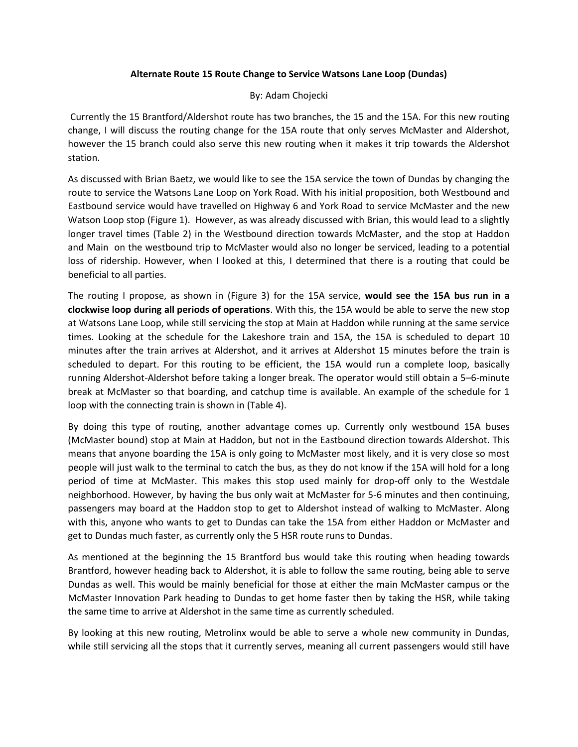## **Alternate Route 15 Route Change to Service Watsons Lane Loop (Dundas)**

## By: Adam Chojecki

Currently the 15 Brantford/Aldershot route has two branches, the 15 and the 15A. For this new routing change, I will discuss the routing change for the 15A route that only serves McMaster and Aldershot, however the 15 branch could also serve this new routing when it makes it trip towards the Aldershot station.

As discussed with Brian Baetz, we would like to see the 15A service the town of Dundas by changing the route to service the Watsons Lane Loop on York Road. With his initial proposition, both Westbound and Eastbound service would have travelled on Highway 6 and York Road to service McMaster and the new Watson Loop stop (Figure 1). However, as was already discussed with Brian, this would lead to a slightly longer travel times (Table 2) in the Westbound direction towards McMaster, and the stop at Haddon and Main on the westbound trip to McMaster would also no longer be serviced, leading to a potential loss of ridership. However, when I looked at this, I determined that there is a routing that could be beneficial to all parties.

The routing I propose, as shown in (Figure 3) for the 15A service, **would see the 15A bus run in a clockwise loop during all periods of operations**. With this, the 15A would be able to serve the new stop at Watsons Lane Loop, while still servicing the stop at Main at Haddon while running at the same service times. Looking at the schedule for the Lakeshore train and 15A, the 15A is scheduled to depart 10 minutes after the train arrives at Aldershot, and it arrives at Aldershot 15 minutes before the train is scheduled to depart. For this routing to be efficient, the 15A would run a complete loop, basically running Aldershot-Aldershot before taking a longer break. The operator would still obtain a 5–6-minute break at McMaster so that boarding, and catchup time is available. An example of the schedule for 1 loop with the connecting train is shown in (Table 4).

By doing this type of routing, another advantage comes up. Currently only westbound 15A buses (McMaster bound) stop at Main at Haddon, but not in the Eastbound direction towards Aldershot. This means that anyone boarding the 15A is only going to McMaster most likely, and it is very close so most people will just walk to the terminal to catch the bus, as they do not know if the 15A will hold for a long period of time at McMaster. This makes this stop used mainly for drop-off only to the Westdale neighborhood. However, by having the bus only wait at McMaster for 5-6 minutes and then continuing, passengers may board at the Haddon stop to get to Aldershot instead of walking to McMaster. Along with this, anyone who wants to get to Dundas can take the 15A from either Haddon or McMaster and get to Dundas much faster, as currently only the 5 HSR route runs to Dundas.

As mentioned at the beginning the 15 Brantford bus would take this routing when heading towards Brantford, however heading back to Aldershot, it is able to follow the same routing, being able to serve Dundas as well. This would be mainly beneficial for those at either the main McMaster campus or the McMaster Innovation Park heading to Dundas to get home faster then by taking the HSR, while taking the same time to arrive at Aldershot in the same time as currently scheduled.

By looking at this new routing, Metrolinx would be able to serve a whole new community in Dundas, while still servicing all the stops that it currently serves, meaning all current passengers would still have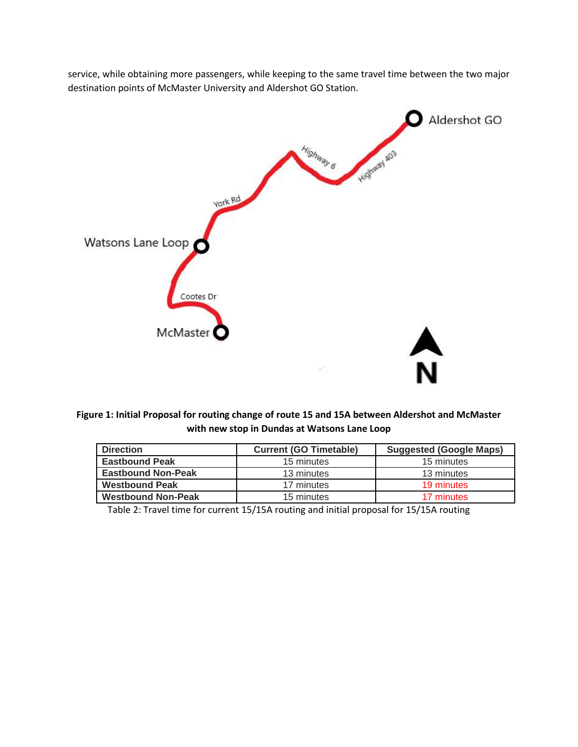service, while obtaining more passengers, while keeping to the same travel time between the two major destination points of McMaster University and Aldershot GO Station.



**Figure 1: Initial Proposal for routing change of route 15 and 15A between Aldershot and McMaster with new stop in Dundas at Watsons Lane Loop**

| <b>Direction</b>          | <b>Current (GO Timetable)</b> | <b>Suggested (Google Maps)</b> |
|---------------------------|-------------------------------|--------------------------------|
| <b>Eastbound Peak</b>     | 15 minutes                    | 15 minutes                     |
| <b>Eastbound Non-Peak</b> | 13 minutes                    | 13 minutes                     |
| <b>Westbound Peak</b>     | 17 minutes                    | 19 minutes                     |
| <b>Westbound Non-Peak</b> | 15 minutes                    | 17 minutes                     |

Table 2: Travel time for current 15/15A routing and initial proposal for 15/15A routing